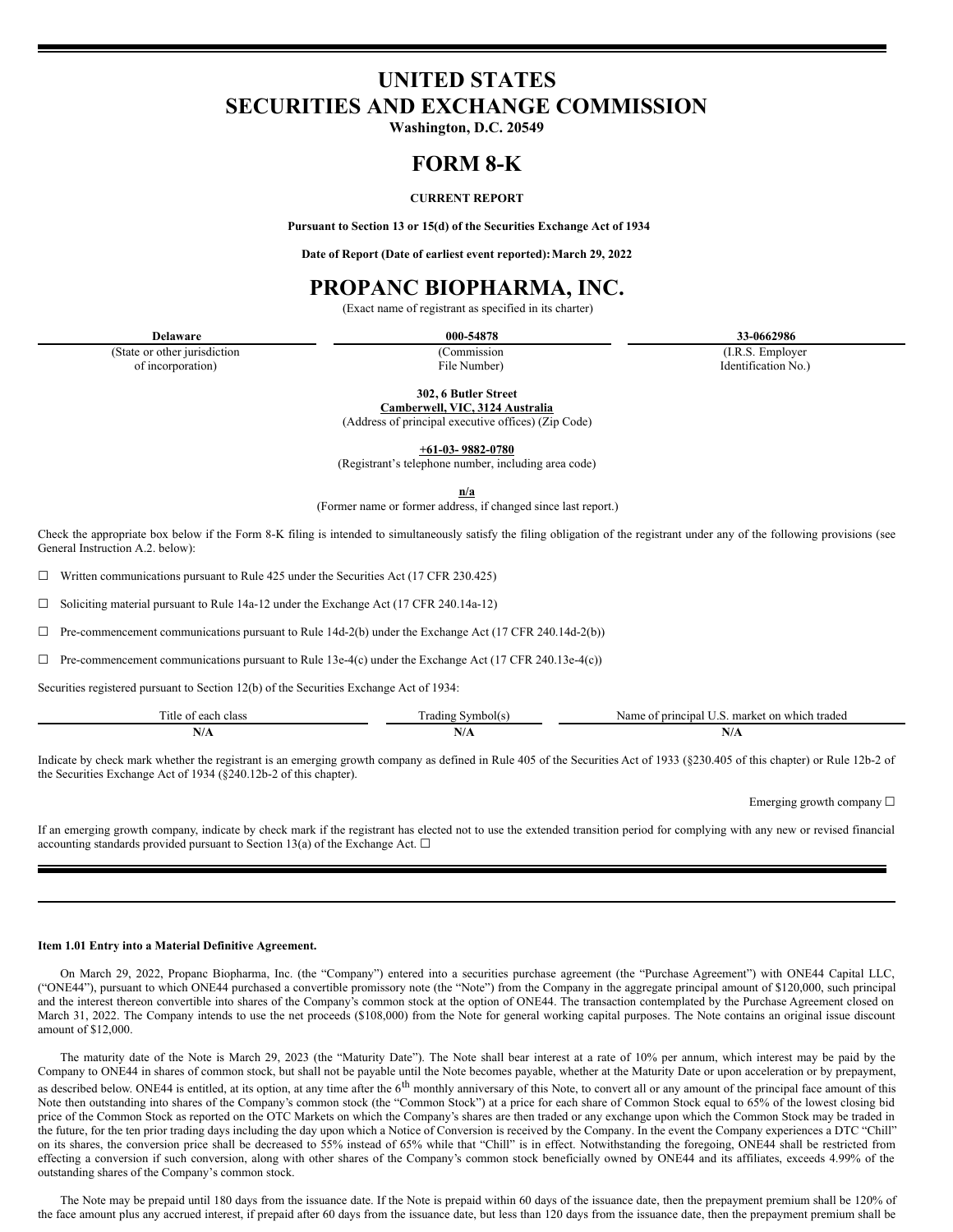# **UNITED STATES SECURITIES AND EXCHANGE COMMISSION**

**Washington, D.C. 20549**

# **FORM 8-K**

## **CURRENT REPORT**

**Pursuant to Section 13 or 15(d) of the Securities Exchange Act of 1934**

**Date of Report (Date of earliest event reported):March 29, 2022**

# **PROPANC BIOPHARMA, INC.**

(Exact name of registrant as specified in its charter)

**Delaware 000-54878 33-0662986**

(State or other jurisdiction of incorporation)

(Commission File Number)

(I.R.S. Employer Identification No.)

**302, 6 Butler Street**

**Camberwell, VIC, 3124 Australia** (Address of principal executive offices) (Zip Code)

**+61-03- 9882-0780** (Registrant's telephone number, including area code)

**n/a**

(Former name or former address, if changed since last report.)

Check the appropriate box below if the Form 8-K filing is intended to simultaneously satisfy the filing obligation of the registrant under any of the following provisions (see General Instruction A.2. below):

 $\Box$  Written communications pursuant to Rule 425 under the Securities Act (17 CFR 230.425)

 $\Box$  Soliciting material pursuant to Rule 14a-12 under the Exchange Act (17 CFR 240.14a-12)

 $\Box$  Pre-commencement communications pursuant to Rule 14d-2(b) under the Exchange Act (17 CFR 240.14d-2(b))

 $\Box$  Pre-commencement communications pursuant to Rule 13e-4(c) under the Exchange Act (17 CFR 240.13e-4(c))

Securities registered pursuant to Section 12(b) of the Securities Exchange Act of 1934:

| . itle<br>clas:<br>∶∩†<br>each | ≅vmbol(s).<br>rading                            | Name<br>. market on which traded<br>principal<br>$\sim$<br>. |
|--------------------------------|-------------------------------------------------|--------------------------------------------------------------|
| N/A                            | $\mathbf{V}$<br>the contract of the contract of | 11/71<br>the contract of the contract of the                 |

Indicate by check mark whether the registrant is an emerging growth company as defined in Rule 405 of the Securities Act of 1933 (§230.405 of this chapter) or Rule 12b-2 of the Securities Exchange Act of 1934 (§240.12b-2 of this chapter).

Emerging growth company ☐

If an emerging growth company, indicate by check mark if the registrant has elected not to use the extended transition period for complying with any new or revised financial accounting standards provided pursuant to Section 13(a) of the Exchange Act.  $\Box$ 

#### **Item 1.01 Entry into a Material Definitive Agreement.**

On March 29, 2022, Propanc Biopharma, Inc. (the "Company") entered into a securities purchase agreement (the "Purchase Agreement") with ONE44 Capital LLC, ("ONE44"), pursuant to which ONE44 purchased a convertible promissory note (the "Note") from the Company in the aggregate principal amount of \$120,000, such principal and the interest thereon convertible into shares of the Company's common stock at the option of ONE44. The transaction contemplated by the Purchase Agreement closed on March 31, 2022. The Company intends to use the net proceeds (\$108,000) from the Note for general working capital purposes. The Note contains an original issue discount amount of \$12,000.

The maturity date of the Note is March 29, 2023 (the "Maturity Date"). The Note shall bear interest at a rate of 10% per annum, which interest may be paid by the Company to ONE44 in shares of common stock, but shall not be payable until the Note becomes payable, whether at the Maturity Date or upon acceleration or by prepayment, as described below. ONE44 is entitled, at its option, at any time after the  $6<sup>th</sup>$  monthly anniversary of this Note, to convert all or any amount of the principal face amount of this Note then outstanding into shares of the Company's common stock (the "Common Stock") at a price for each share of Common Stock equal to 65% of the lowest closing bid price of the Common Stock as reported on the OTC Markets on which the Company's shares are then traded or any exchange upon which the Common Stock may be traded in the future, for the ten prior trading days including the day upon which a Notice of Conversion is received by the Company. In the event the Company experiences a DTC "Chill" on its shares, the conversion price shall be decreased to 55% instead of 65% while that "Chill" is in effect. Notwithstanding the foregoing, ONE44 shall be restricted from effecting a conversion if such conversion, along with other shares of the Company's common stock beneficially owned by ONE44 and its affiliates, exceeds 4.99% of the outstanding shares of the Company's common stock.

The Note may be prepaid until 180 days from the issuance date. If the Note is prepaid within 60 days of the issuance date, then the prepayment premium shall be 120% of the face amount plus any accrued interest, if prepaid after 60 days from the issuance date, but less than 120 days from the issuance date, then the prepayment premium shall be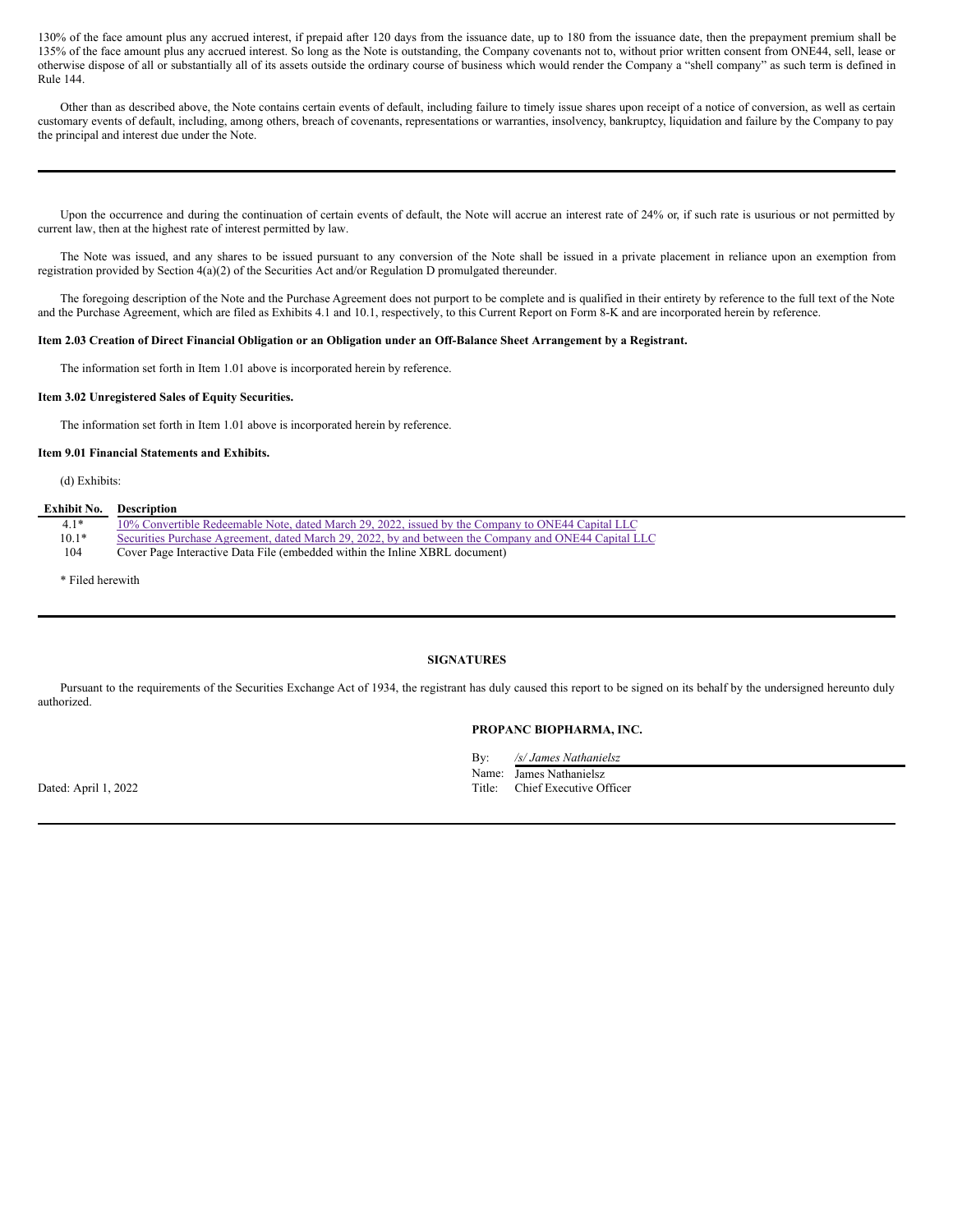130% of the face amount plus any accrued interest, if prepaid after 120 days from the issuance date, up to 180 from the issuance date, then the prepayment premium shall be 135% of the face amount plus any accrued interest. So long as the Note is outstanding, the Company covenants not to, without prior written consent from ONE44, sell, lease or otherwise dispose of all or substantially all of its assets outside the ordinary course of business which would render the Company a "shell company" as such term is defined in Rule 144.

Other than as described above, the Note contains certain events of default, including failure to timely issue shares upon receipt of a notice of conversion, as well as certain customary events of default, including, among others, breach of covenants, representations or warranties, insolvency, bankruptcy, liquidation and failure by the Company to pay the principal and interest due under the Note.

Upon the occurrence and during the continuation of certain events of default, the Note will accrue an interest rate of 24% or, if such rate is usurious or not permitted by current law, then at the highest rate of interest permitted by law.

The Note was issued, and any shares to be issued pursuant to any conversion of the Note shall be issued in a private placement in reliance upon an exemption from registration provided by Section 4(a)(2) of the Securities Act and/or Regulation D promulgated thereunder.

The foregoing description of the Note and the Purchase Agreement does not purport to be complete and is qualified in their entirety by reference to the full text of the Note and the Purchase Agreement, which are filed as Exhibits 4.1 and 10.1, respectively, to this Current Report on Form 8-K and are incorporated herein by reference.

#### Item 2.03 Creation of Direct Financial Obligation or an Obligation under an Off-Balance Sheet Arrangement by a Registrant.

The information set forth in Item 1.01 above is incorporated herein by reference.

#### **Item 3.02 Unregistered Sales of Equity Securities.**

The information set forth in Item 1.01 above is incorporated herein by reference.

#### **Item 9.01 Financial Statements and Exhibits.**

(d) Exhibits:

#### **Exhibit No. Description**

| $4.1*$  | 10% Convertible Redeemable Note, dated March 29, 2022, issued by the Company to ONE44 Capital LLC     |
|---------|-------------------------------------------------------------------------------------------------------|
| $10.1*$ | Securities Purchase Agreement, dated March 29, 2022, by and between the Company and ONE44 Capital LLC |
| 104     | Cover Page Interactive Data File (embedded within the Inline XBRL document)                           |

\* Filed herewith

#### **SIGNATURES**

Pursuant to the requirements of the Securities Exchange Act of 1934, the registrant has duly caused this report to be signed on its behalf by the undersigned hereunto duly authorized.

### **PROPANC BIOPHARMA, INC.**

By: */s/ James Nathanielsz*

Name: James Nathanielsz

Dated: April 1, 2022 Title: Chief Executive Officer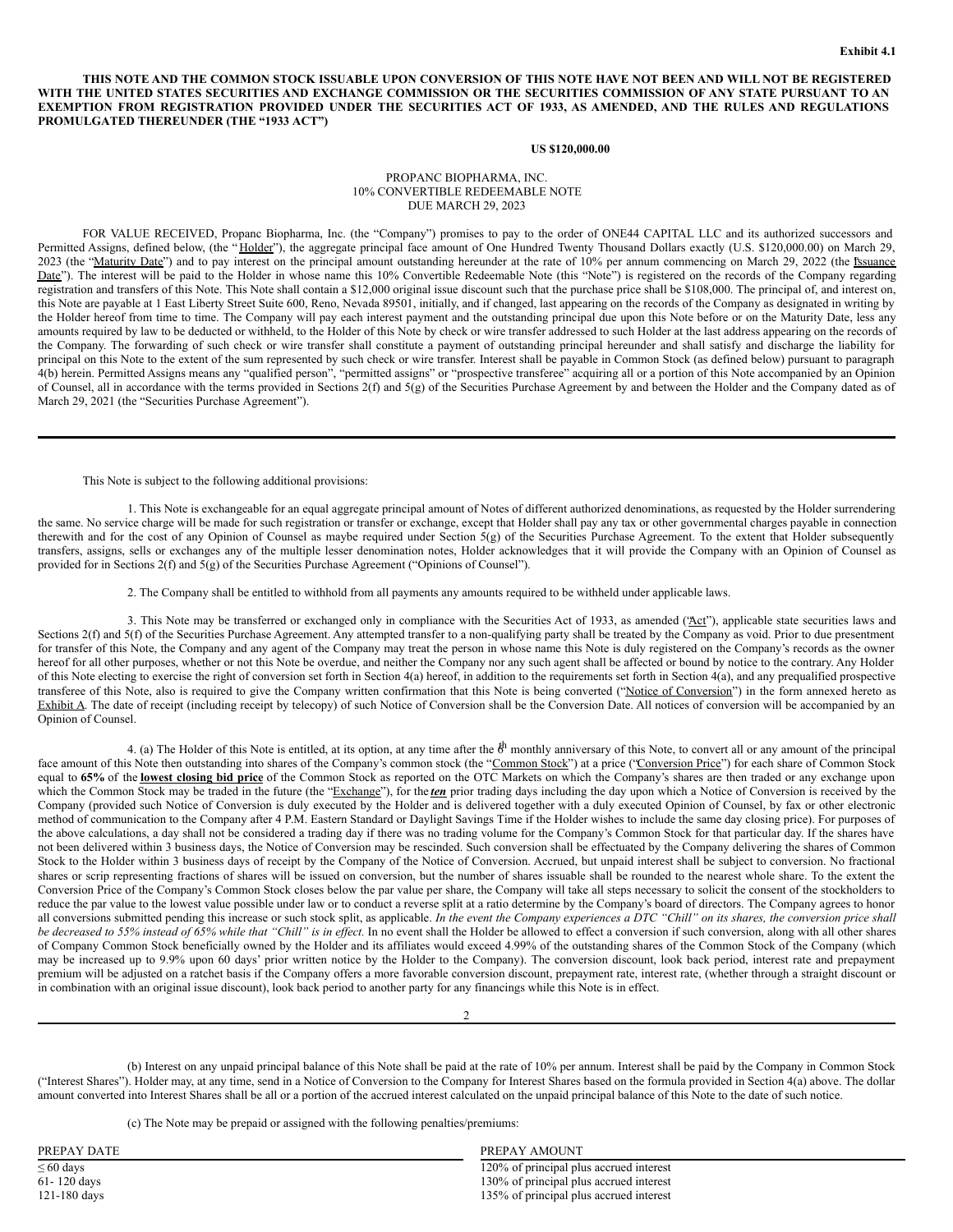THIS NOTE AND THE COMMON STOCK ISSUABLE UPON CONVERSION OF THIS NOTE HAVE NOT BEEN AND WILL NOT BE REGISTERED WITH THE UNITED STATES SECURITIES AND EXCHANGE COMMISSION OR THE SECURITIES COMMISSION OF ANY STATE PURSUANT TO AN EXEMPTION FROM REGISTRATION PROVIDED UNDER THE SECURITIES ACT OF 1933, AS AMENDED, AND THE RULES AND REGULATIONS **PROMULGATED THEREUNDER (THE "1933 ACT")**

#### **US \$120,000.00**

#### PROPANC BIOPHARMA, INC. 10% CONVERTIBLE REDEEMABLE NOTE DUE MARCH 29, 2023

FOR VALUE RECEIVED, Propanc Biopharma, Inc. (the "Company") promises to pay to the order of ONE44 CAPITAL LLC and its authorized successors and Permitted Assigns, defined below, (the "Holder"), the aggregate principal face amount of One Hundred Twenty Thousand Dollars exactly (U.S. \$120,000.00) on March 29, 2023 (the "Maturity Date") and to pay interest on the principal amount outstanding hereunder at the rate of 10% per annum commencing on March 29, 2022 (the Issuance Date"). The interest will be paid to the Holder in whose name this 10% Convertible Redeemable Note (this "Note") is registered on the records of the Company regarding registration and transfers of this Note. This Note shall contain a \$12,000 original issue discount such that the purchase price shall be \$108,000. The principal of, and interest on, this Note are payable at 1 East Liberty Street Suite 600, Reno, Nevada 89501, initially, and if changed, last appearing on the records of the Company as designated in writing by the Holder hereof from time to time. The Company will pay each interest payment and the outstanding principal due upon this Note before or on the Maturity Date, less any amounts required by law to be deducted or withheld, to the Holder of this Note by check or wire transfer addressed to such Holder at the last address appearing on the records of the Company. The forwarding of such check or wire transfer shall constitute a payment of outstanding principal hereunder and shall satisfy and discharge the liability for principal on this Note to the extent of the sum represented by such check or wire transfer. Interest shall be payable in Common Stock (as defined below) pursuant to paragraph 4(b) herein. Permitted Assigns means any "qualified person", "permitted assigns" or "prospective transferee" acquiring all or a portion of this Note accompanied by an Opinion of Counsel, all in accordance with the terms provided in Sections 2(f) and 5(g) of the Securities Purchase Agreement by and between the Holder and the Company dated as of March 29, 2021 (the "Securities Purchase Agreement").

This Note is subject to the following additional provisions:

1. This Note is exchangeable for an equal aggregate principal amount of Notes of different authorized denominations, as requested by the Holder surrendering the same. No service charge will be made for such registration or transfer or exchange, except that Holder shall pay any tax or other governmental charges payable in connection therewith and for the cost of any Opinion of Counsel as maybe required under Section 5(g) of the Securities Purchase Agreement. To the extent that Holder subsequently transfers, assigns, sells or exchanges any of the multiple lesser denomination notes, Holder acknowledges that it will provide the Company with an Opinion of Counsel as provided for in Sections 2(f) and 5(g) of the Securities Purchase Agreement ("Opinions of Counsel").

2. The Company shall be entitled to withhold from all payments any amounts required to be withheld under applicable laws.

3. This Note may be transferred or exchanged only in compliance with the Securities Act of 1933, as amended  $( $\Delta ct$ )$ , applicable state securities laws and Sections 2(f) and 5(f) of the Securities Purchase Agreement. Any attempted transfer to a non-qualifying party shall be treated by the Company as void. Prior to due presentment for transfer of this Note, the Company and any agent of the Company may treat the person in whose name this Note is duly registered on the Company's records as the owner hereof for all other purposes, whether or not this Note be overdue, and neither the Company nor any such agent shall be affected or bound by notice to the contrary. Any Holder of this Note electing to exercise the right of conversion set forth in Section 4(a) hereof, in addition to the requirements set forth in Section 4(a), and any prequalified prospective transferee of this Note, also is required to give the Company written confirmation that this Note is being converted ("Notice of Conversion") in the form annexed hereto as Exhibit A. The date of receipt (including receipt by telecopy) of such Notice of Conversion shall be the Conversion Date. All notices of conversion will be accompanied by an Opinion of Counsel.

4. (a) The Holder of this Note is entitled, at its option, at any time after the  $\ddot{\theta}$ <sup>h</sup> monthly anniversary of this Note, to convert all or any amount of the principal face amount of this Note then outstanding into shares of the Company's common stock (the "Common Stock") at a price ("Conversion Price") for each share of Common Stock equal to **65%** of the **lowest closing bid price** of the Common Stock as reported on the OTC Markets on which the Company's shares are then traded or any exchange upon which the Common Stock may be traded in the future (the "Exchange"), for the *ten* prior trading days including the day upon which a Notice of Conversion is received by the Company (provided such Notice of Conversion is duly executed by the Holder and is delivered together with a duly executed Opinion of Counsel, by fax or other electronic method of communication to the Company after 4 P.M. Eastern Standard or Daylight Savings Time if the Holder wishes to include the same day closing price). For purposes of the above calculations, a day shall not be considered a trading day if there was no trading volume for the Company's Common Stock for that particular day. If the shares have not been delivered within 3 business days, the Notice of Conversion may be rescinded. Such conversion shall be effectuated by the Company delivering the shares of Common Stock to the Holder within 3 business days of receipt by the Company of the Notice of Conversion. Accrued, but unpaid interest shall be subject to conversion. No fractional shares or scrip representing fractions of shares will be issued on conversion, but the number of shares issuable shall be rounded to the nearest whole share. To the extent the Conversion Price of the Company's Common Stock closes below the par value per share, the Company will take all steps necessary to solicit the consent of the stockholders to reduce the par value to the lowest value possible under law or to conduct a reverse split at a ratio determine by the Company's board of directors. The Company agrees to honor all conversions submitted pending this increase or such stock split, as applicable. In the event the Company experiences a DTC "Chill" on its shares, the conversion price shall be decreased to 55% instead of 65% while that "Chill" is in effect. In no event shall the Holder be allowed to effect a conversion if such conversion, along with all other shares of Company Common Stock beneficially owned by the Holder and its affiliates would exceed 4.99% of the outstanding shares of the Common Stock of the Company (which may be increased up to 9.9% upon 60 days' prior written notice by the Holder to the Company). The conversion discount, look back period, interest rate and prepayment premium will be adjusted on a ratchet basis if the Company offers a more favorable conversion discount, prepayment rate, interest rate, (whether through a straight discount or in combination with an original issue discount), look back period to another party for any financings while this Note is in effect.

(b) Interest on any unpaid principal balance of this Note shall be paid at the rate of 10% per annum. Interest shall be paid by the Company in Common Stock ("Interest Shares"). Holder may, at any time, send in a Notice of Conversion to the Company for Interest Shares based on the formula provided in Section 4(a) above. The dollar amount converted into Interest Shares shall be all or a portion of the accrued interest calculated on the unpaid principal balance of this Note to the date of such notice.

2

(c) The Note may be prepaid or assigned with the following penalties/premiums:

| PREPAY DATE    | PREPAY AMOUNT                           |
|----------------|-----------------------------------------|
| $\leq 60$ days | 120% of principal plus accrued interest |
| 61-120 days    | 130% of principal plus accrued interest |
| $121-180$ days | 135% of principal plus accrued interest |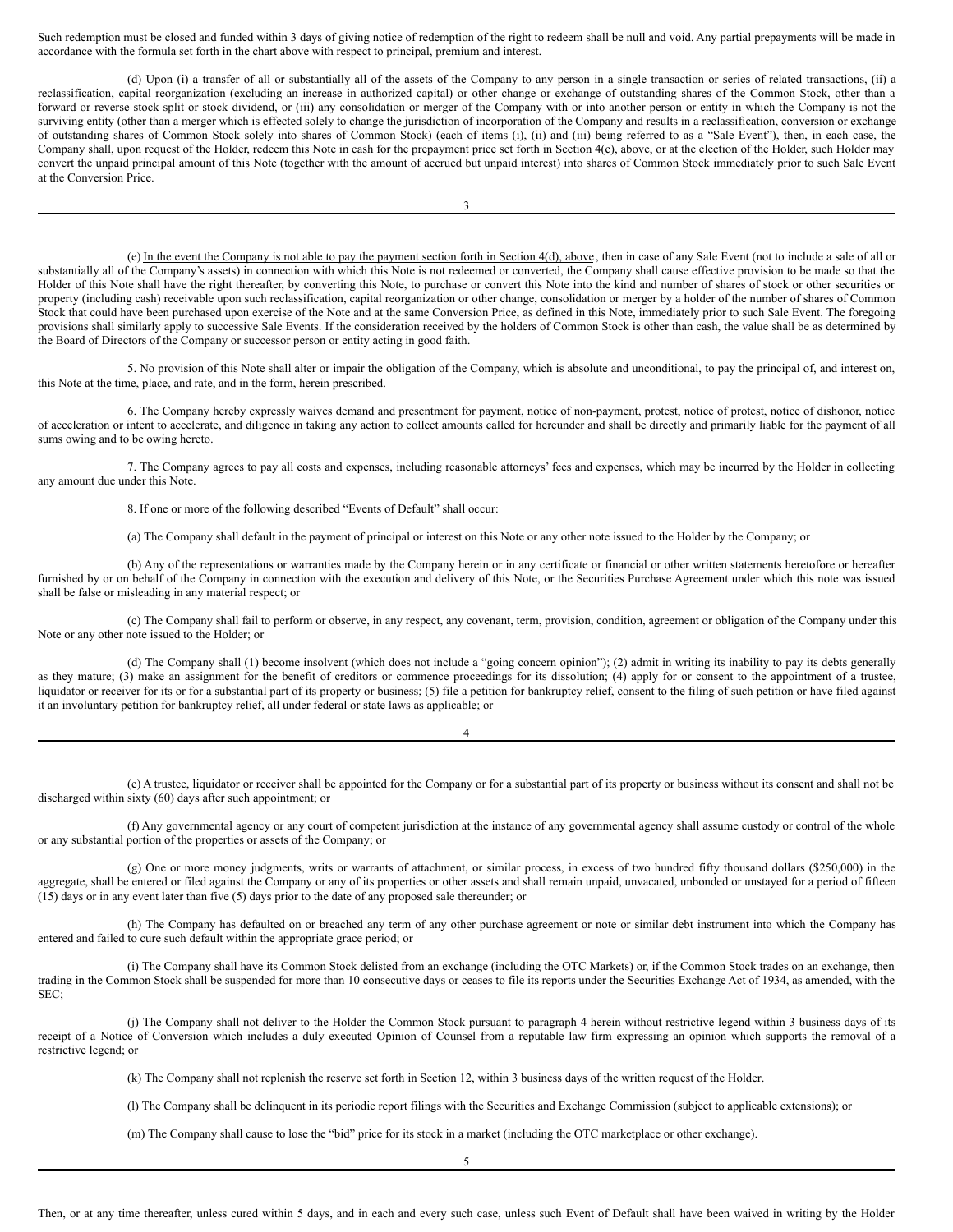<span id="page-3-0"></span>Such redemption must be closed and funded within 3 days of giving notice of redemption of the right to redeem shall be null and void. Any partial prepayments will be made in accordance with the formula set forth in the chart above with respect to principal, premium and interest.

(d) Upon (i) a transfer of all or substantially all of the assets of the Company to any person in a single transaction or series of related transactions, (ii) a reclassification, capital reorganization (excluding an increase in authorized capital) or other change or exchange of outstanding shares of the Common Stock, other than a forward or reverse stock split or stock dividend, or (iii) any consolidation or merger of the Company with or into another person or entity in which the Company is not the surviving entity (other than a merger which is effected solely to change the jurisdiction of incorporation of the Company and results in a reclassification, conversion or exchange of outstanding shares of Common Stock solely into shares of Common Stock) (each of items (i), (ii) and (iii) being referred to as a "Sale Event"), then, in each case, the Company shall, upon request of the Holder, redeem this Note in cash for the prepayment price set forth in Section 4(c), above, or at the election of the Holder, such Holder may convert the unpaid principal amount of this Note (together with the amount of accrued but unpaid interest) into shares of Common Stock immediately prior to such Sale Event at the Conversion Price.

(e) In the event the Company is not able to pay the payment section forth in Section 4(d), above , then in case of any Sale Event (not to include a sale of all or substantially all of the Company's assets) in connection with which this Note is not redeemed or converted, the Company shall cause effective provision to be made so that the Holder of this Note shall have the right thereafter, by converting this Note, to purchase or convert this Note into the kind and number of shares of stock or other securities or property (including cash) receivable upon such reclassification, capital reorganization or other change, consolidation or merger by a holder of the number of shares of Common Stock that could have been purchased upon exercise of the Note and at the same Conversion Price, as defined in this Note, immediately prior to such Sale Event. The foregoing provisions shall similarly apply to successive Sale Events. If the consideration received by the holders of Common Stock is other than cash, the value shall be as determined by the Board of Directors of the Company or successor person or entity acting in good faith.

5. No provision of this Note shall alter or impair the obligation of the Company, which is absolute and unconditional, to pay the principal of, and interest on, this Note at the time, place, and rate, and in the form, herein prescribed.

6. The Company hereby expressly waives demand and presentment for payment, notice of non-payment, protest, notice of protest, notice of dishonor, notice of acceleration or intent to accelerate, and diligence in taking any action to collect amounts called for hereunder and shall be directly and primarily liable for the payment of all sums owing and to be owing hereto.

7. The Company agrees to pay all costs and expenses, including reasonable attorneys' fees and expenses, which may be incurred by the Holder in collecting any amount due under this Note.

8. If one or more of the following described "Events of Default" shall occur:

(a) The Company shall default in the payment of principal or interest on this Note or any other note issued to the Holder by the Company; or

(b) Any of the representations or warranties made by the Company herein or in any certificate or financial or other written statements heretofore or hereafter furnished by or on behalf of the Company in connection with the execution and delivery of this Note, or the Securities Purchase Agreement under which this note was issued shall be false or misleading in any material respect; or

(c) The Company shall fail to perform or observe, in any respect, any covenant, term, provision, condition, agreement or obligation of the Company under this Note or any other note issued to the Holder; or

(d) The Company shall (1) become insolvent (which does not include a "going concern opinion"); (2) admit in writing its inability to pay its debts generally as they mature; (3) make an assignment for the benefit of creditors or commence proceedings for its dissolution; (4) apply for or consent to the appointment of a trustee, liquidator or receiver for its or for a substantial part of its property or business; (5) file a petition for bankruptcy relief, consent to the filing of such petition or have filed against it an involuntary petition for bankruptcy relief, all under federal or state laws as applicable; or

4

(e) A trustee, liquidator or receiver shall be appointed for the Company or for a substantial part of its property or business without its consent and shall not be discharged within sixty (60) days after such appointment; or

(f) Any governmental agency or any court of competent jurisdiction at the instance of any governmental agency shall assume custody or control of the whole or any substantial portion of the properties or assets of the Company; or

(g) One or more money judgments, writs or warrants of attachment, or similar process, in excess of two hundred fifty thousand dollars (\$250,000) in the aggregate, shall be entered or filed against the Company or any of its properties or other assets and shall remain unpaid, unvacated, unbonded or unstayed for a period of fifteen (15) days or in any event later than five (5) days prior to the date of any proposed sale thereunder; or

(h) The Company has defaulted on or breached any term of any other purchase agreement or note or similar debt instrument into which the Company has entered and failed to cure such default within the appropriate grace period; or

(i) The Company shall have its Common Stock delisted from an exchange (including the OTC Markets) or, if the Common Stock trades on an exchange, then trading in the Common Stock shall be suspended for more than 10 consecutive days or ceases to file its reports under the Securities Exchange Act of 1934, as amended, with the SEC;

(j) The Company shall not deliver to the Holder the Common Stock pursuant to paragraph 4 herein without restrictive legend within 3 business days of its receipt of a Notice of Conversion which includes a duly executed Opinion of Counsel from a reputable law firm expressing an opinion which supports the removal of a restrictive legend; or

(k) The Company shall not replenish the reserve set forth in Section 12, within 3 business days of the written request of the Holder.

(l) The Company shall be delinquent in its periodic report filings with the Securities and Exchange Commission (subject to applicable extensions); or

(m) The Company shall cause to lose the "bid" price for its stock in a market (including the OTC marketplace or other exchange).

5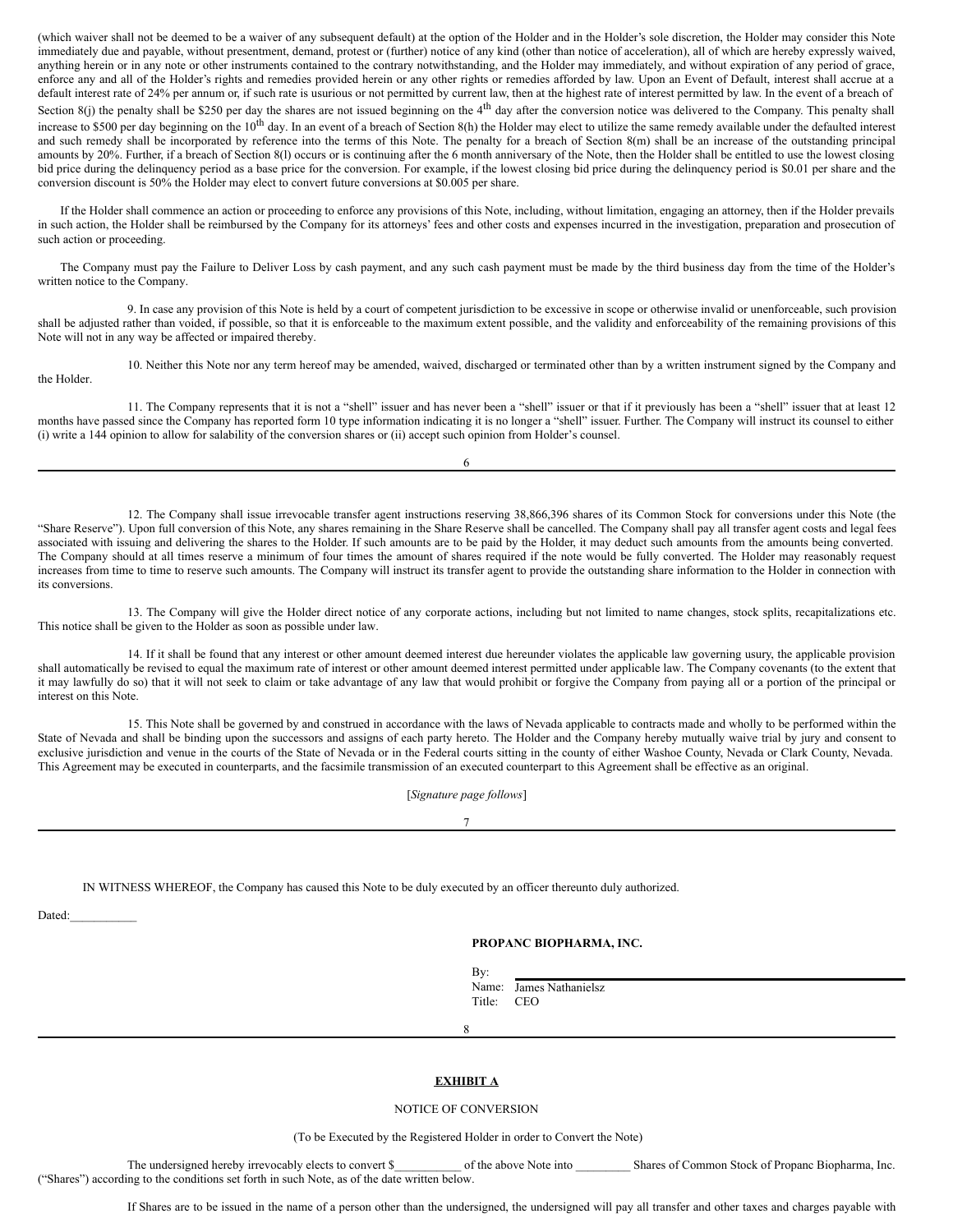(which waiver shall not be deemed to be a waiver of any subsequent default) at the option of the Holder and in the Holder's sole discretion, the Holder may consider this Note immediately due and payable, without presentment, demand, protest or (further) notice of any kind (other than notice of acceleration), all of which are hereby expressly waived, anything herein or in any note or other instruments contained to the contrary notwithstanding, and the Holder may immediately, and without expiration of any period of grace, enforce any and all of the Holder's rights and remedies provided herein or any other rights or remedies afforded by law. Upon an Event of Default, interest shall accrue at a default interest rate of 24% per annum or, if such rate is usurious or not permitted by current law, then at the highest rate of interest permitted by law. In the event of a breach of Section  $8(j)$  the penalty shall be \$250 per day the shares are not issued beginning on the  $4<sup>th</sup>$  day after the conversion notice was delivered to the Company. This penalty shall increase to \$500 per day beginning on the  $10<sup>th</sup>$  day. In an event of a breach of Section 8(h) the Holder may elect to utilize the same remedy available under the defaulted interest and such remedy shall be incorporated by reference into the terms of this Note. The penalty for a breach of Section 8(m) shall be an increase of the outstanding principal amounts by 20%. Further, if a breach of Section 8(l) occurs or is continuing after the 6 month anniversary of the Note, then the Holder shall be entitled to use the lowest closing bid price during the delinquency period as a base price for the conversion. For example, if the lowest closing bid price during the delinquency period is \$0.01 per share and the conversion discount is 50% the Holder may elect to convert future conversions at \$0.005 per share.

If the Holder shall commence an action or proceeding to enforce any provisions of this Note, including, without limitation, engaging an attorney, then if the Holder prevails in such action, the Holder shall be reimbursed by the Company for its attorneys' fees and other costs and expenses incurred in the investigation, preparation and prosecution of such action or proceeding.

The Company must pay the Failure to Deliver Loss by cash payment, and any such cash payment must be made by the third business day from the time of the Holder's written notice to the Company.

9. In case any provision of this Note is held by a court of competent jurisdiction to be excessive in scope or otherwise invalid or unenforceable, such provision shall be adjusted rather than voided, if possible, so that it is enforceable to the maximum extent possible, and the validity and enforceability of the remaining provisions of this Note will not in any way be affected or impaired thereby.

10. Neither this Note nor any term hereof may be amended, waived, discharged or terminated other than by a written instrument signed by the Company and the Holder.

11. The Company represents that it is not a "shell" issuer and has never been a "shell" issuer or that if it previously has been a "shell" issuer that at least 12 months have passed since the Company has reported form 10 type information indicating it is no longer a "shell" issuer. Further. The Company will instruct its counsel to either (i) write a 144 opinion to allow for salability of the conversion shares or (ii) accept such opinion from Holder's counsel.

6

12. The Company shall issue irrevocable transfer agent instructions reserving 38,866,396 shares of its Common Stock for conversions under this Note (the "Share Reserve"). Upon full conversion of this Note, any shares remaining in the Share Reserve shall be cancelled. The Company shall pay all transfer agent costs and legal fees associated with issuing and delivering the shares to the Holder. If such amounts are to be paid by the Holder, it may deduct such amounts from the amounts being converted. The Company should at all times reserve a minimum of four times the amount of shares required if the note would be fully converted. The Holder may reasonably request increases from time to time to reserve such amounts. The Company will instruct its transfer agent to provide the outstanding share information to the Holder in connection with its conversions.

13. The Company will give the Holder direct notice of any corporate actions, including but not limited to name changes, stock splits, recapitalizations etc. This notice shall be given to the Holder as soon as possible under law.

14. If it shall be found that any interest or other amount deemed interest due hereunder violates the applicable law governing usury, the applicable provision shall automatically be revised to equal the maximum rate of interest or other amount deemed interest permitted under applicable law. The Company covenants (to the extent that it may lawfully do so) that it will not seek to claim or take advantage of any law that would prohibit or forgive the Company from paying all or a portion of the principal or interest on this Note.

15. This Note shall be governed by and construed in accordance with the laws of Nevada applicable to contracts made and wholly to be performed within the State of Nevada and shall be binding upon the successors and assigns of each party hereto. The Holder and the Company hereby mutually waive trial by jury and consent to exclusive jurisdiction and venue in the courts of the State of Nevada or in the Federal courts sitting in the county of either Washoe County, Nevada or Clark County, Nevada. This Agreement may be executed in counterparts, and the facsimile transmission of an executed counterpart to this Agreement shall be effective as an original.

[*Signature page follows*]

7

IN WITNESS WHEREOF, the Company has caused this Note to be duly executed by an officer thereunto duly authorized.

Dated:

#### **PROPANC BIOPHARMA, INC.**

By: Name: James Nathanielsz Title: CEO

8

#### **EXHIBIT A**

#### NOTICE OF CONVERSION

(To be Executed by the Registered Holder in order to Convert the Note)

The undersigned hereby irrevocably elects to convert \$\_\_\_\_\_\_\_\_\_\_ of the above Note into \_\_\_\_\_\_\_\_\_ Shares of Common Stock of Propanc Biopharma, Inc. ("Shares") according to the conditions set forth in such Note, as of the date written below.

If Shares are to be issued in the name of a person other than the undersigned, the undersigned will pay all transfer and other taxes and charges payable with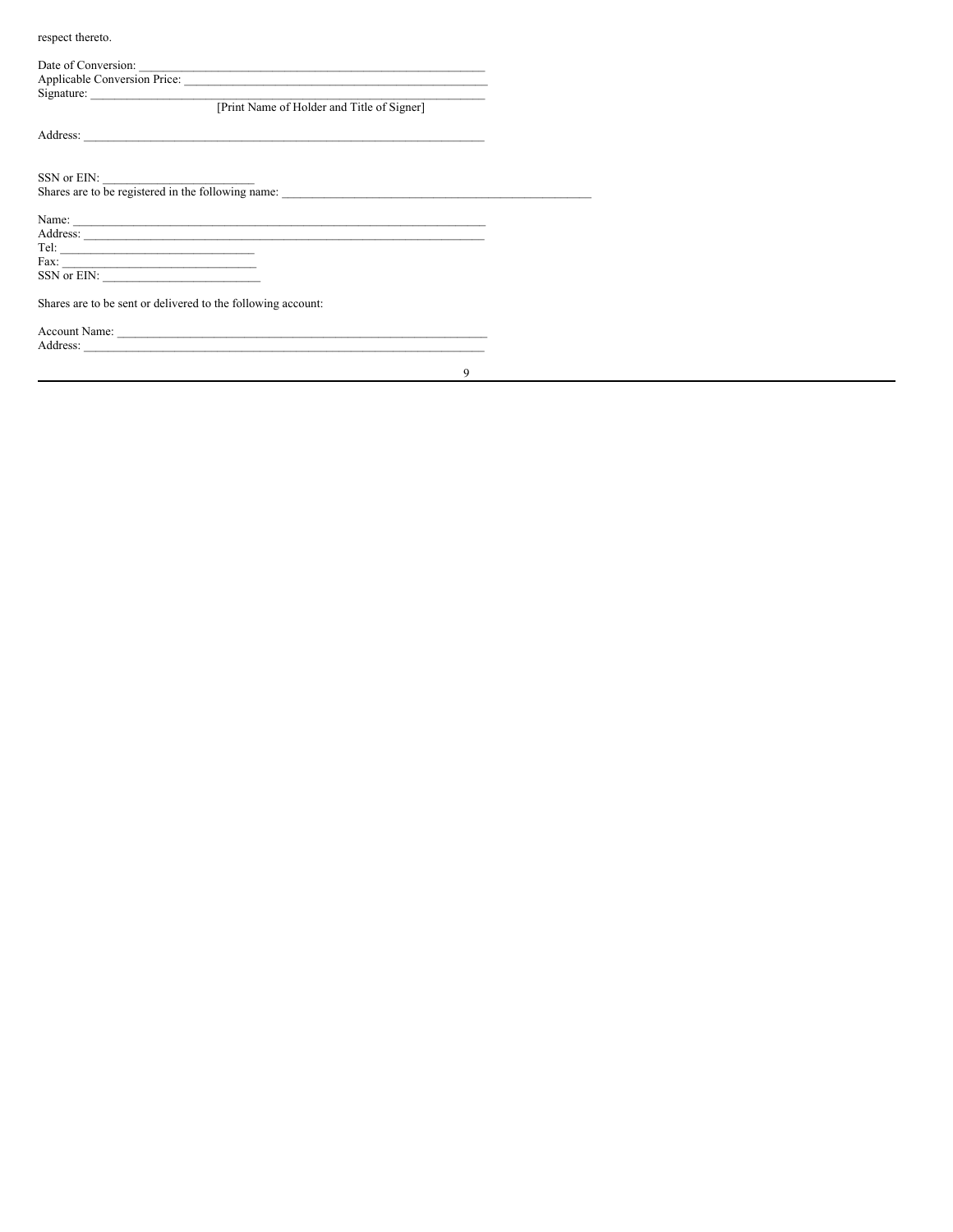respect thereto.

| Date of Conversion:                                                   |
|-----------------------------------------------------------------------|
| Applicable Conversion Price:                                          |
|                                                                       |
| Signature: <u>Figure 1</u> [Print Name of Holder and Title of Signer] |
|                                                                       |
|                                                                       |
| SSN or EIN:                                                           |
| Shares are to be registered in the following name:                    |
|                                                                       |
|                                                                       |
| Tel: $\qquad \qquad$                                                  |
|                                                                       |
|                                                                       |
| Shares are to be sent or delivered to the following account:          |
|                                                                       |
| Address:                                                              |

 $\overline{9}$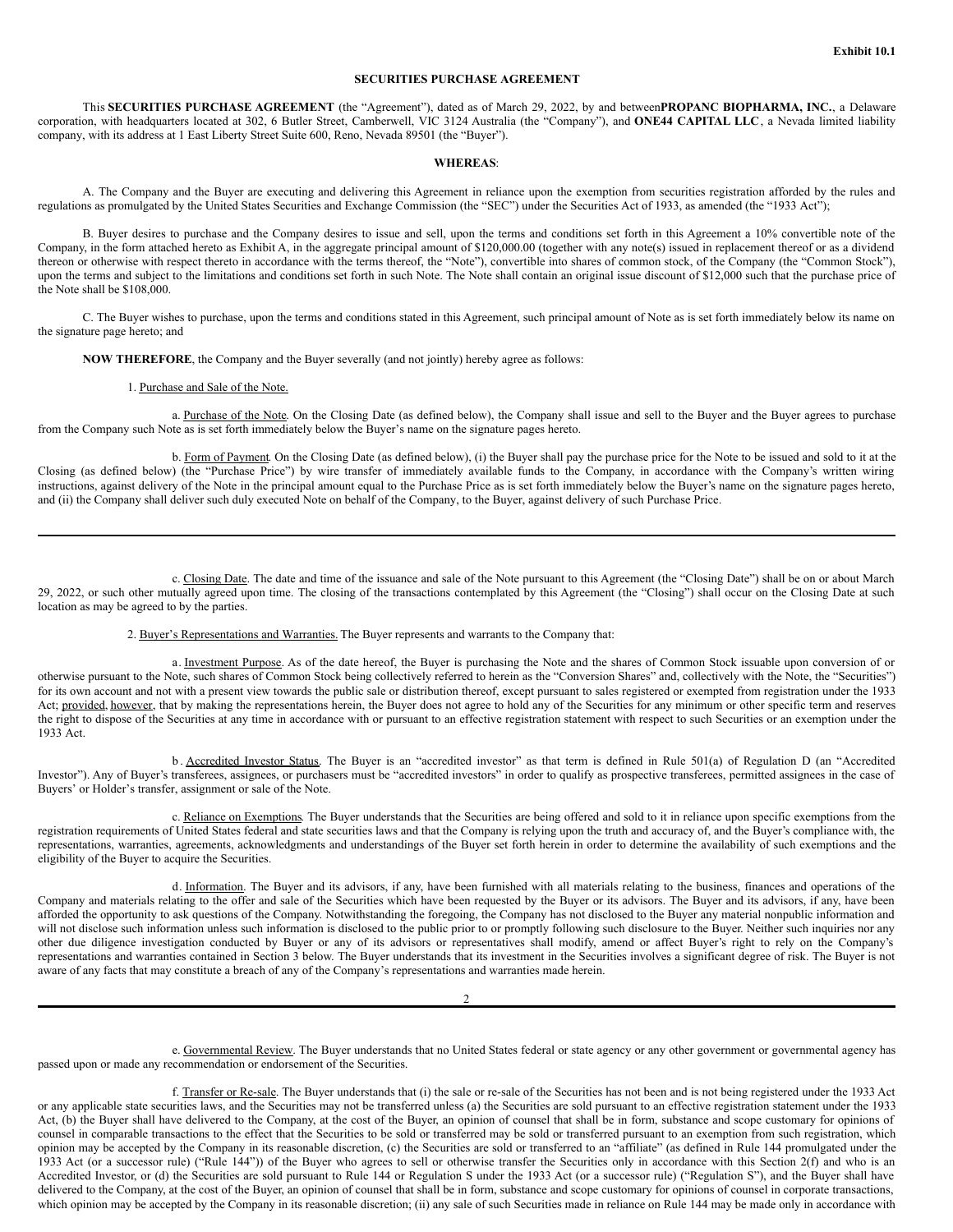### **SECURITIES PURCHASE AGREEMENT**

This **SECURITIES PURCHASE AGREEMENT** (the "Agreement"), dated as of March 29, 2022, by and between**PROPANC BIOPHARMA, INC.**, a Delaware corporation, with headquarters located at 302, 6 Butler Street, Camberwell, VIC 3124 Australia (the "Company"), and **ONE44 CAPITAL LLC**, a Nevada limited liability company, with its address at 1 East Liberty Street Suite 600, Reno, Nevada 89501 (the "Buyer").

#### **WHEREAS**:

A. The Company and the Buyer are executing and delivering this Agreement in reliance upon the exemption from securities registration afforded by the rules and regulations as promulgated by the United States Securities and Exchange Commission (the "SEC") under the Securities Act of 1933, as amended (the "1933 Act");

B. Buyer desires to purchase and the Company desires to issue and sell, upon the terms and conditions set forth in this Agreement a 10% convertible note of the Company, in the form attached hereto as Exhibit A, in the aggregate principal amount of \$120,000.00 (together with any note(s) issued in replacement thereof or as a dividend thereon or otherwise with respect thereto in accordance with the terms thereof, the "Note"), convertible into shares of common stock, of the Company (the "Common Stock"), upon the terms and subject to the limitations and conditions set forth in such Note. The Note shall contain an original issue discount of \$12,000 such that the purchase price of the Note shall be \$108,000.

C. The Buyer wishes to purchase, upon the terms and conditions stated in this Agreement, such principal amount of Note as is set forth immediately below its name on the signature page hereto; and

**NOW THEREFORE**, the Company and the Buyer severally (and not jointly) hereby agree as follows:

1. Purchase and Sale of the Note.

a. Purchase of the Note. On the Closing Date (as defined below), the Company shall issue and sell to the Buyer and the Buyer agrees to purchase from the Company such Note as is set forth immediately below the Buyer's name on the signature pages hereto.

b. Form of Payment. On the Closing Date (as defined below), (i) the Buyer shall pay the purchase price for the Note to be issued and sold to it at the Closing (as defined below) (the "Purchase Price") by wire transfer of immediately available funds to the Company, in accordance with the Company's written wiring instructions, against delivery of the Note in the principal amount equal to the Purchase Price as is set forth immediately below the Buyer's name on the signature pages hereto, and (ii) the Company shall deliver such duly executed Note on behalf of the Company, to the Buyer, against delivery of such Purchase Price.

c. Closing Date. The date and time of the issuance and sale of the Note pursuant to this Agreement (the "Closing Date") shall be on or about March 29, 2022, or such other mutually agreed upon time. The closing of the transactions contemplated by this Agreement (the "Closing") shall occur on the Closing Date at such location as may be agreed to by the parties.

2. Buyer's Representations and Warranties. The Buyer represents and warrants to the Company that:

a. Investment Purpose. As of the date hereof, the Buyer is purchasing the Note and the shares of Common Stock issuable upon conversion of or otherwise pursuant to the Note, such shares of Common Stock being collectively referred to herein as the "Conversion Shares" and, collectively with the Note, the "Securities") for its own account and not with a present view towards the public sale or distribution thereof, except pursuant to sales registered or exempted from registration under the 1933 Act; provided, however, that by making the representations herein, the Buyer does not agree to hold any of the Securities for any minimum or other specific term and reserves the right to dispose of the Securities at any time in accordance with or pursuant to an effective registration statement with respect to such Securities or an exemption under the 1933 Act.

b . Accredited Investor Status. The Buyer is an "accredited investor" as that term is defined in Rule 501(a) of Regulation D (an "Accredited Investor"). Any of Buyer's transferees, assignees, or purchasers must be "accredited investors" in order to qualify as prospective transferees, permitted assignees in the case of Buyers' or Holder's transfer, assignment or sale of the Note.

c. Reliance on Exemptions. The Buyer understands that the Securities are being offered and sold to it in reliance upon specific exemptions from the registration requirements of United States federal and state securities laws and that the Company is relying upon the truth and accuracy of, and the Buyer's compliance with, the representations, warranties, agreements, acknowledgments and understandings of the Buyer set forth herein in order to determine the availability of such exemptions and the eligibility of the Buyer to acquire the Securities.

d. Information. The Buyer and its advisors, if any, have been furnished with all materials relating to the business, finances and operations of the Company and materials relating to the offer and sale of the Securities which have been requested by the Buyer or its advisors. The Buyer and its advisors, if any, have been afforded the opportunity to ask questions of the Company. Notwithstanding the foregoing, the Company has not disclosed to the Buyer any material nonpublic information and will not disclose such information unless such information is disclosed to the public prior to or promptly following such disclosure to the Buyer. Neither such inquiries nor any other due diligence investigation conducted by Buyer or any of its advisors or representatives shall modify, amend or affect Buyer's right to rely on the Company's representations and warranties contained in Section 3 below. The Buyer understands that its investment in the Securities involves a significant degree of risk. The Buyer is not aware of any facts that may constitute a breach of any of the Company's representations and warranties made herein.

 $\mathfrak{Z}$ 

e. Governmental Review. The Buyer understands that no United States federal or state agency or any other government or governmental agency has passed upon or made any recommendation or endorsement of the Securities.

f. Transfer or Re-sale. The Buyer understands that (i) the sale or re-sale of the Securities has not been and is not being registered under the 1933 Act or any applicable state securities laws, and the Securities may not be transferred unless (a) the Securities are sold pursuant to an effective registration statement under the 1933 Act, (b) the Buyer shall have delivered to the Company, at the cost of the Buyer, an opinion of counsel that shall be in form, substance and scope customary for opinions of counsel in comparable transactions to the effect that the Securities to be sold or transferred may be sold or transferred pursuant to an exemption from such registration, which opinion may be accepted by the Company in its reasonable discretion, (c) the Securities are sold or transferred to an "affiliate" (as defined in Rule 144 promulgated under the 1933 Act (or a successor rule) ("Rule 144")) of the Buyer who agrees to sell or otherwise transfer the Securities only in accordance with this Section 2(f) and who is an Accredited Investor, or (d) the Securities are sold pursuant to Rule 144 or Regulation S under the 1933 Act (or a successor rule) ("Regulation S"), and the Buyer shall have delivered to the Company, at the cost of the Buyer, an opinion of counsel that shall be in form, substance and scope customary for opinions of counsel in corporate transactions, which opinion may be accepted by the Company in its reasonable discretion; (ii) any sale of such Securities made in reliance on Rule 144 may be made only in accordance with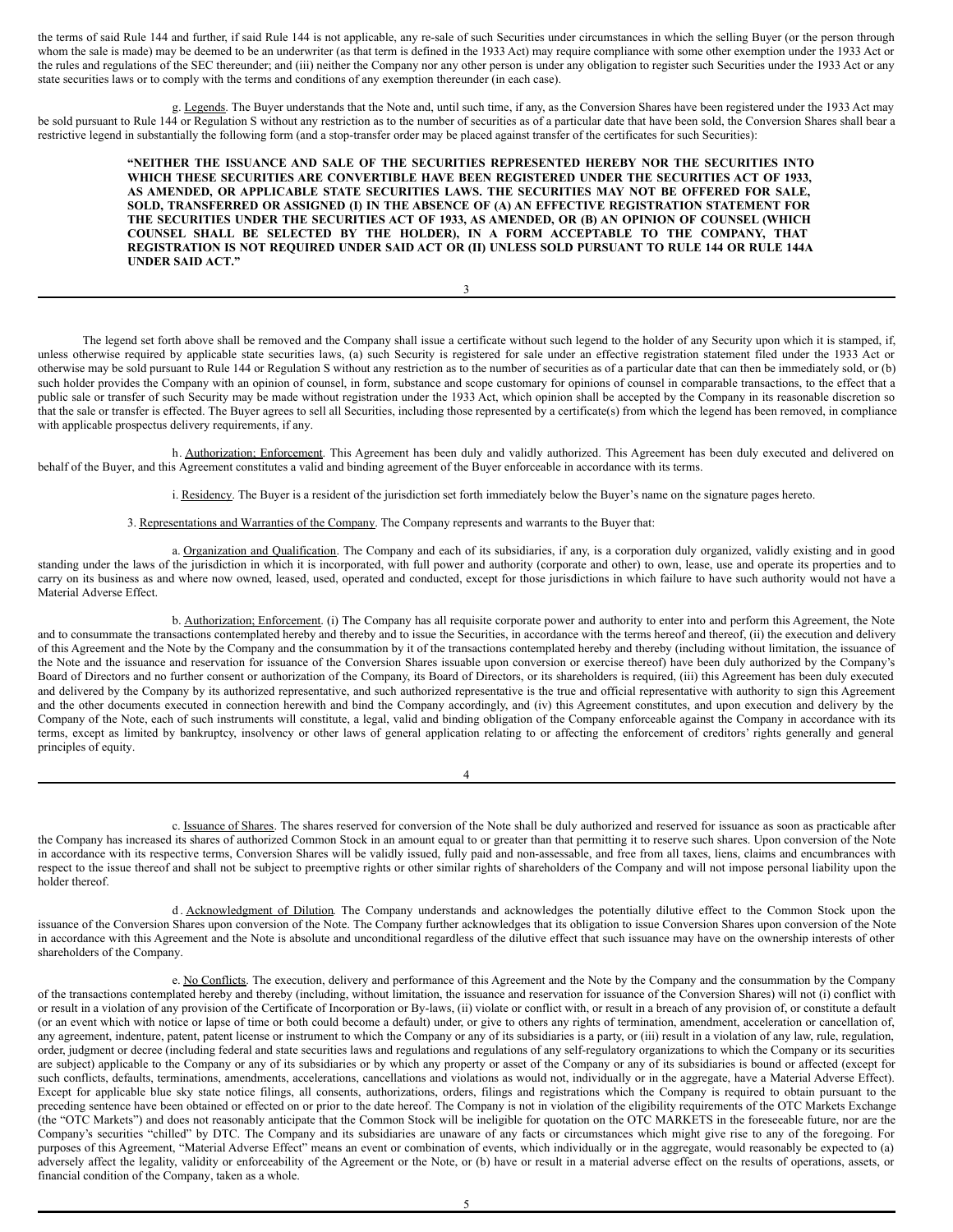the terms of said Rule 144 and further, if said Rule 144 is not applicable, any re-sale of such Securities under circumstances in which the selling Buyer (or the person through whom the sale is made) may be deemed to be an underwriter (as that term is defined in the 1933 Act) may require compliance with some other exemption under the 1933 Act or the rules and regulations of the SEC thereunder; and (iii) neither the Company nor any other person is under any obligation to register such Securities under the 1933 Act or any state securities laws or to comply with the terms and conditions of any exemption thereunder (in each case).

g. Legends. The Buyer understands that the Note and, until such time, if any, as the Conversion Shares have been registered under the 1933 Act may be sold pursuant to Rule 144 or Regulation S without any restriction as to the number of securities as of a particular date that have been sold, the Conversion Shares shall bear a restrictive legend in substantially the following form (and a stop-transfer order may be placed against transfer of the certificates for such Securities):

> **"NEITHER THE ISSUANCE AND SALE OF THE SECURITIES REPRESENTED HEREBY NOR THE SECURITIES INTO WHICH THESE SECURITIES ARE CONVERTIBLE HAVE BEEN REGISTERED UNDER THE SECURITIES ACT OF 1933, AS AMENDED, OR APPLICABLE STATE SECURITIES LAWS. THE SECURITIES MAY NOT BE OFFERED FOR SALE, SOLD, TRANSFERRED OR ASSIGNED (I) IN THE ABSENCE OF (A) AN EFFECTIVE REGISTRATION STATEMENT FOR THE SECURITIES UNDER THE SECURITIES ACT OF 1933, AS AMENDED, OR (B) AN OPINION OF COUNSEL (WHICH COUNSEL SHALL BE SELECTED BY THE HOLDER), IN A FORM ACCEPTABLE TO THE COMPANY, THAT REGISTRATION IS NOT REQUIRED UNDER SAID ACT OR (II) UNLESS SOLD PURSUANT TO RULE 144 OR RULE 144A UNDER SAID ACT."**

> > 3

The legend set forth above shall be removed and the Company shall issue a certificate without such legend to the holder of any Security upon which it is stamped, if, unless otherwise required by applicable state securities laws, (a) such Security is registered for sale under an effective registration statement filed under the 1933 Act or otherwise may be sold pursuant to Rule 144 or Regulation S without any restriction as to the number of securities as of a particular date that can then be immediately sold, or (b) such holder provides the Company with an opinion of counsel, in form, substance and scope customary for opinions of counsel in comparable transactions, to the effect that a public sale or transfer of such Security may be made without registration under the 1933 Act, which opinion shall be accepted by the Company in its reasonable discretion so that the sale or transfer is effected. The Buyer agrees to sell all Securities, including those represented by a certificate(s) from which the legend has been removed, in compliance with applicable prospectus delivery requirements, if any.

h. Authorization; Enforcement. This Agreement has been duly and validly authorized. This Agreement has been duly executed and delivered on behalf of the Buyer, and this Agreement constitutes a valid and binding agreement of the Buyer enforceable in accordance with its terms.

i. Residency. The Buyer is a resident of the jurisdiction set forth immediately below the Buyer's name on the signature pages hereto.

3. Representations and Warranties of the Company. The Company represents and warrants to the Buyer that:

a. Organization and Qualification. The Company and each of its subsidiaries, if any, is a corporation duly organized, validly existing and in good standing under the laws of the jurisdiction in which it is incorporated, with full power and authority (corporate and other) to own, lease, use and operate its properties and to carry on its business as and where now owned, leased, used, operated and conducted, except for those jurisdictions in which failure to have such authority would not have a Material Adverse Effect.

b. Authorization; Enforcement. (i) The Company has all requisite corporate power and authority to enter into and perform this Agreement, the Note and to consummate the transactions contemplated hereby and thereby and to issue the Securities, in accordance with the terms hereof and thereof, (ii) the execution and delivery of this Agreement and the Note by the Company and the consummation by it of the transactions contemplated hereby and thereby (including without limitation, the issuance of the Note and the issuance and reservation for issuance of the Conversion Shares issuable upon conversion or exercise thereof) have been duly authorized by the Company's Board of Directors and no further consent or authorization of the Company, its Board of Directors, or its shareholders is required, (iii) this Agreement has been duly executed and delivered by the Company by its authorized representative, and such authorized representative is the true and official representative with authority to sign this Agreement and the other documents executed in connection herewith and bind the Company accordingly, and (iv) this Agreement constitutes, and upon execution and delivery by the Company of the Note, each of such instruments will constitute, a legal, valid and binding obligation of the Company enforceable against the Company in accordance with its terms, except as limited by bankruptcy, insolvency or other laws of general application relating to or affecting the enforcement of creditors' rights generally and general principles of equity.

| ٦ |
|---|
|---|

c. Issuance of Shares. The shares reserved for conversion of the Note shall be duly authorized and reserved for issuance as soon as practicable after the Company has increased its shares of authorized Common Stock in an amount equal to or greater than that permitting it to reserve such shares. Upon conversion of the Note in accordance with its respective terms, Conversion Shares will be validly issued, fully paid and non-assessable, and free from all taxes, liens, claims and encumbrances with respect to the issue thereof and shall not be subject to preemptive rights or other similar rights of shareholders of the Company and will not impose personal liability upon the holder thereof.

d . Acknowledgment of Dilution. The Company understands and acknowledges the potentially dilutive effect to the Common Stock upon the issuance of the Conversion Shares upon conversion of the Note. The Company further acknowledges that its obligation to issue Conversion Shares upon conversion of the Note in accordance with this Agreement and the Note is absolute and unconditional regardless of the dilutive effect that such issuance may have on the ownership interests of other shareholders of the Company.

e. No Conflicts. The execution, delivery and performance of this Agreement and the Note by the Company and the consummation by the Company of the transactions contemplated hereby and thereby (including, without limitation, the issuance and reservation for issuance of the Conversion Shares) will not (i) conflict with or result in a violation of any provision of the Certificate of Incorporation or By-laws, (ii) violate or conflict with, or result in a breach of any provision of, or constitute a default (or an event which with notice or lapse of time or both could become a default) under, or give to others any rights of termination, amendment, acceleration or cancellation of, any agreement, indenture, patent, patent license or instrument to which the Company or any of its subsidiaries is a party, or (iii) result in a violation of any law, rule, regulation, order, judgment or decree (including federal and state securities laws and regulations and regulations of any self-regulatory organizations to which the Company or its securities are subject) applicable to the Company or any of its subsidiaries or by which any property or asset of the Company or any of its subsidiaries is bound or affected (except for such conflicts, defaults, terminations, amendments, accelerations, cancellations and violations as would not, individually or in the aggregate, have a Material Adverse Effect). Except for applicable blue sky state notice filings, all consents, authorizations, orders, filings and registrations which the Company is required to obtain pursuant to the preceding sentence have been obtained or effected on or prior to the date hereof. The Company is not in violation of the eligibility requirements of the OTC Markets Exchange (the "OTC Markets") and does not reasonably anticipate that the Common Stock will be ineligible for quotation on the OTC MARKETS in the foreseeable future, nor are the Company's securities "chilled" by DTC. The Company and its subsidiaries are unaware of any facts or circumstances which might give rise to any of the foregoing. For purposes of this Agreement, "Material Adverse Effect" means an event or combination of events, which individually or in the aggregate, would reasonably be expected to (a) adversely affect the legality, validity or enforceability of the Agreement or the Note, or (b) have or result in a material adverse effect on the results of operations, assets, or financial condition of the Company, taken as a whole.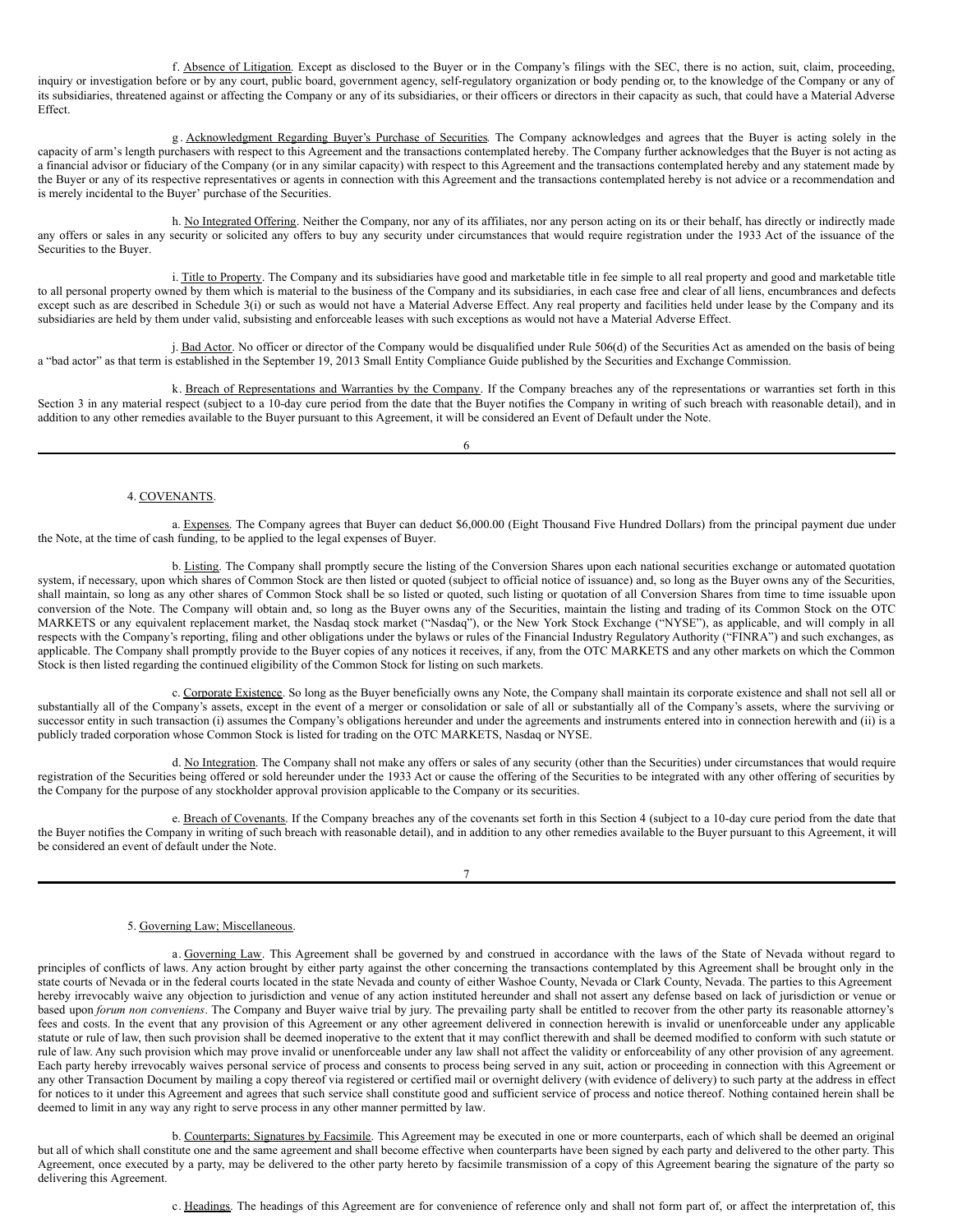<span id="page-8-0"></span>f. Absence of Litigation. Except as disclosed to the Buyer or in the Company's filings with the SEC, there is no action, suit, claim, proceeding, inquiry or investigation before or by any court, public board, government agency, self-regulatory organization or body pending or, to the knowledge of the Company or any of its subsidiaries, threatened against or affecting the Company or any of its subsidiaries, or their officers or directors in their capacity as such, that could have a Material Adverse Effect.

g . Acknowledgment Regarding Buyer's Purchase of Securities. The Company acknowledges and agrees that the Buyer is acting solely in the capacity of arm's length purchasers with respect to this Agreement and the transactions contemplated hereby. The Company further acknowledges that the Buyer is not acting as a financial advisor or fiduciary of the Company (or in any similar capacity) with respect to this Agreement and the transactions contemplated hereby and any statement made by the Buyer or any of its respective representatives or agents in connection with this Agreement and the transactions contemplated hereby is not advice or a recommendation and is merely incidental to the Buyer' purchase of the Securities.

h. No Integrated Offering. Neither the Company, nor any of its affiliates, nor any person acting on its or their behalf, has directly or indirectly made any offers or sales in any security or solicited any offers to buy any security under circumstances that would require registration under the 1933 Act of the issuance of the Securities to the Buyer.

i. Title to Property. The Company and its subsidiaries have good and marketable title in fee simple to all real property and good and marketable title to all personal property owned by them which is material to the business of the Company and its subsidiaries, in each case free and clear of all liens, encumbrances and defects except such as are described in Schedule 3(i) or such as would not have a Material Adverse Effect. Any real property and facilities held under lease by the Company and its subsidiaries are held by them under valid, subsisting and enforceable leases with such exceptions as would not have a Material Adverse Effect.

j. Bad Actor. No officer or director of the Company would be disqualified under Rule 506(d) of the Securities Act as amended on the basis of being a "bad actor" as that term is established in the September 19, 2013 Small Entity Compliance Guide published by the Securities and Exchange Commission.

k. Breach of Representations and Warranties by the Company. If the Company breaches any of the representations or warranties set forth in this Section 3 in any material respect (subject to a 10-day cure period from the date that the Buyer notifies the Company in writing of such breach with reasonable detail), and in addition to any other remedies available to the Buyer pursuant to this Agreement, it will be considered an Event of Default under the Note.

6

#### 4. COVENANTS.

a. Expenses. The Company agrees that Buyer can deduct \$6,000.00 (Eight Thousand Five Hundred Dollars) from the principal payment due under the Note, at the time of cash funding, to be applied to the legal expenses of Buyer.

b. Listing. The Company shall promptly secure the listing of the Conversion Shares upon each national securities exchange or automated quotation system, if necessary, upon which shares of Common Stock are then listed or quoted (subject to official notice of issuance) and, so long as the Buyer owns any of the Securities, shall maintain, so long as any other shares of Common Stock shall be so listed or quoted, such listing or quotation of all Conversion Shares from time to time issuable upon conversion of the Note. The Company will obtain and, so long as the Buyer owns any of the Securities, maintain the listing and trading of its Common Stock on the OTC MARKETS or any equivalent replacement market, the Nasdaq stock market ("Nasdaq"), or the New York Stock Exchange ("NYSE"), as applicable, and will comply in all respects with the Company's reporting, filing and other obligations under the bylaws or rules of the Financial Industry Regulatory Authority ("FINRA") and such exchanges, as applicable. The Company shall promptly provide to the Buyer copies of any notices it receives, if any, from the OTC MARKETS and any other markets on which the Common Stock is then listed regarding the continued eligibility of the Common Stock for listing on such markets.

c. Corporate Existence. So long as the Buyer beneficially owns any Note, the Company shall maintain its corporate existence and shall not sell all or substantially all of the Company's assets, except in the event of a merger or consolidation or sale of all or substantially all of the Company's assets, where the surviving or successor entity in such transaction (i) assumes the Company's obligations hereunder and under the agreements and instruments entered into in connection herewith and (ii) is a publicly traded corporation whose Common Stock is listed for trading on the OTC MARKETS, Nasdaq or NYSE.

d. No Integration. The Company shall not make any offers or sales of any security (other than the Securities) under circumstances that would require registration of the Securities being offered or sold hereunder under the 1933 Act or cause the offering of the Securities to be integrated with any other offering of securities by the Company for the purpose of any stockholder approval provision applicable to the Company or its securities.

e. Breach of Covenants. If the Company breaches any of the covenants set forth in this Section 4 (subject to a 10-day cure period from the date that the Buyer notifies the Company in writing of such breach with reasonable detail), and in addition to any other remedies available to the Buyer pursuant to this Agreement, it will be considered an event of default under the Note.

#### 5. Governing Law; Miscellaneous.

a. Governing Law. This Agreement shall be governed by and construed in accordance with the laws of the State of Nevada without regard to principles of conflicts of laws. Any action brought by either party against the other concerning the transactions contemplated by this Agreement shall be brought only in the state courts of Nevada or in the federal courts located in the state Nevada and county of either Washoe County, Nevada or Clark County, Nevada. The parties to this Agreement hereby irrevocably waive any objection to jurisdiction and venue of any action instituted hereunder and shall not assert any defense based on lack of jurisdiction or venue or based upon *forum non conveniens*. The Company and Buyer waive trial by jury. The prevailing party shall be entitled to recover from the other party its reasonable attorney's fees and costs. In the event that any provision of this Agreement or any other agreement delivered in connection herewith is invalid or unenforceable under any applicable statute or rule of law, then such provision shall be deemed inoperative to the extent that it may conflict therewith and shall be deemed modified to conform with such statute or rule of law. Any such provision which may prove invalid or unenforceable under any law shall not affect the validity or enforceability of any other provision of any agreement. Each party hereby irrevocably waives personal service of process and consents to process being served in any suit, action or proceeding in connection with this Agreement or any other Transaction Document by mailing a copy thereof via registered or certified mail or overnight delivery (with evidence of delivery) to such party at the address in effect for notices to it under this Agreement and agrees that such service shall constitute good and sufficient service of process and notice thereof. Nothing contained herein shall be deemed to limit in any way any right to serve process in any other manner permitted by law.

b. Counterparts; Signatures by Facsimile. This Agreement may be executed in one or more counterparts, each of which shall be deemed an original but all of which shall constitute one and the same agreement and shall become effective when counterparts have been signed by each party and delivered to the other party. This Agreement, once executed by a party, may be delivered to the other party hereto by facsimile transmission of a copy of this Agreement bearing the signature of the party so delivering this Agreement.

c. Headings. The headings of this Agreement are for convenience of reference only and shall not form part of, or affect the interpretation of, this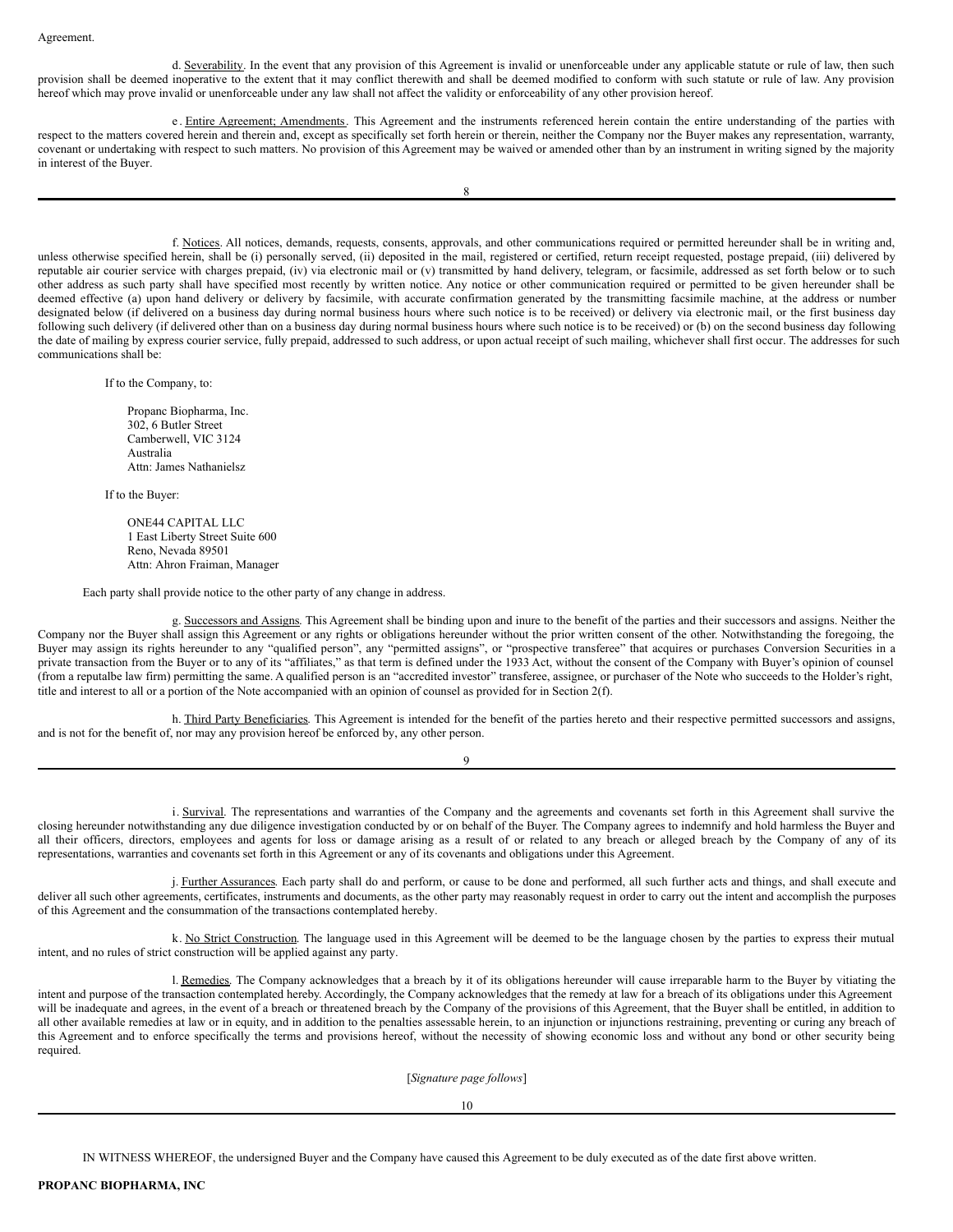d. Severability. In the event that any provision of this Agreement is invalid or unenforceable under any applicable statute or rule of law, then such provision shall be deemed inoperative to the extent that it may conflict therewith and shall be deemed modified to conform with such statute or rule of law. Any provision hereof which may prove invalid or unenforceable under any law shall not affect the validity or enforceability of any other provision hereof.

e . Entire Agreement; Amendments. This Agreement and the instruments referenced herein contain the entire understanding of the parties with respect to the matters covered herein and therein and, except as specifically set forth herein or therein, neither the Company nor the Buyer makes any representation, warranty, covenant or undertaking with respect to such matters. No provision of this Agreement may be waived or amended other than by an instrument in writing signed by the majority in interest of the Buyer.

f. Notices. All notices, demands, requests, consents, approvals, and other communications required or permitted hereunder shall be in writing and, unless otherwise specified herein, shall be (i) personally served, (ii) deposited in the mail, registered or certified, return receipt requested, postage prepaid, (iii) delivered by reputable air courier service with charges prepaid, (iv) via electronic mail or (v) transmitted by hand delivery, telegram, or facsimile, addressed as set forth below or to such other address as such party shall have specified most recently by written notice. Any notice or other communication required or permitted to be given hereunder shall be deemed effective (a) upon hand delivery or delivery by facsimile, with accurate confirmation generated by the transmitting facsimile machine, at the address or number designated below (if delivered on a business day during normal business hours where such notice is to be received) or delivery via electronic mail, or the first business day following such delivery (if delivered other than on a business day during normal business hours where such notice is to be received) or (b) on the second business day following the date of mailing by express courier service, fully prepaid, addressed to such address, or upon actual receipt of such mailing, whichever shall first occur. The addresses for such communications shall be:

If to the Company, to:

Propanc Biopharma, Inc. 302, 6 Butler Street Camberwell, VIC 3124 Australia Attn: James Nathanielsz

If to the Buyer:

ONE44 CAPITAL LLC 1 East Liberty Street Suite 600 Reno, Nevada 89501 Attn: Ahron Fraiman, Manager

Each party shall provide notice to the other party of any change in address.

g. Successors and Assigns. This Agreement shall be binding upon and inure to the benefit of the parties and their successors and assigns. Neither the Company nor the Buyer shall assign this Agreement or any rights or obligations hereunder without the prior written consent of the other. Notwithstanding the foregoing, the Buyer may assign its rights hereunder to any "qualified person", any "permitted assigns", or "prospective transferee" that acquires or purchases Conversion Securities in a private transaction from the Buyer or to any of its "affiliates," as that term is defined under the 1933 Act, without the consent of the Company with Buyer's opinion of counsel (from a reputalbe law firm) permitting the same. A qualified person is an "accredited investor" transferee, assignee, or purchaser of the Note who succeeds to the Holder's right, title and interest to all or a portion of the Note accompanied with an opinion of counsel as provided for in Section 2(f).

h. Third Party Beneficiaries. This Agreement is intended for the benefit of the parties hereto and their respective permitted successors and assigns, and is not for the benefit of, nor may any provision hereof be enforced by, any other person.

9

i. Survival. The representations and warranties of the Company and the agreements and covenants set forth in this Agreement shall survive the closing hereunder notwithstanding any due diligence investigation conducted by or on behalf of the Buyer. The Company agrees to indemnify and hold harmless the Buyer and all their officers, directors, employees and agents for loss or damage arising as a result of or related to any breach or alleged breach by the Company of any of its representations, warranties and covenants set forth in this Agreement or any of its covenants and obligations under this Agreement.

j. Further Assurances. Each party shall do and perform, or cause to be done and performed, all such further acts and things, and shall execute and deliver all such other agreements, certificates, instruments and documents, as the other party may reasonably request in order to carry out the intent and accomplish the purposes of this Agreement and the consummation of the transactions contemplated hereby.

k. No Strict Construction. The language used in this Agreement will be deemed to be the language chosen by the parties to express their mutual intent, and no rules of strict construction will be applied against any party.

l. Remedies. The Company acknowledges that a breach by it of its obligations hereunder will cause irreparable harm to the Buyer by vitiating the intent and purpose of the transaction contemplated hereby. Accordingly, the Company acknowledges that the remedy at law for a breach of its obligations under this Agreement will be inadequate and agrees, in the event of a breach or threatened breach by the Company of the provisions of this Agreement, that the Buyer shall be entitled, in addition to all other available remedies at law or in equity, and in addition to the penalties assessable herein, to an injunction or injunctions restraining, preventing or curing any breach of this Agreement and to enforce specifically the terms and provisions hereof, without the necessity of showing economic loss and without any bond or other security being required.

[*Signature page follows*]

10

IN WITNESS WHEREOF, the undersigned Buyer and the Company have caused this Agreement to be duly executed as of the date first above written.